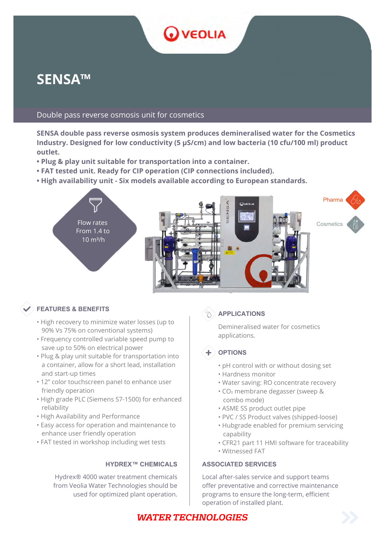# **SENSA™**

### Double pass reverse osmosis unit for cosmetics

**SENSA double pass reverse osmosis system produces demineralised water for the Cosmetics Industry. Designed for low conductivity (5 μS/cm) and low bacteria (10 cfu/100 ml) product outlet.**

**O** VEOLIA

- **Plug & play unit suitable for transportation into a container.**
- **FAT tested unit. Ready for CIP operation (CIP connections included).**
- **High availability unit Six models available according to European standards.**



### **FEATURES & BENEFITS**

- High recovery to minimize water losses (up to 90% Vs 75% on conventional systems)
- Frequency controlled variable speed pump to save up to 50% on electrical power
- Plug & play unit suitable for transportation into a container, allow for a short lead, installation and start-up times
- 12" color touchscreen panel to enhance user friendly operation
- High grade PLC (Siemens S7-1500) for enhanced reliability
- High Availability and Performance
- Easy access for operation and maintenance to enhance user friendly operation
- FAT tested in workshop including wet tests

Hydrex® 4000 water treatment chemicals from Veolia Water Technologies should be used for optimized plant operation.



### $\%$  **APPLICATIONS**

Demineralised water for cosmetics applications.



- pH control with or without dosing set
- Hardness monitor
- Water saving: RO concentrate recovery
- CO₂ membrane degasser (sweep & combo mode)
- ASME SS product outlet pipe
- PVC / SS Product valves (shipped-loose)
- Hubgrade enabled for premium servicing capability
- CFR21 part 11 HMI software for traceability
- Witnessed FAT

#### **HYDREX™ CHEMICALS | ASSOCIATED SERVICES**

Local after-sales service and support teams offer preventative and corrective maintenance programs to ensure the long-term, efficient operation of installed plant.

## **WATER TECHNOLOGIES**